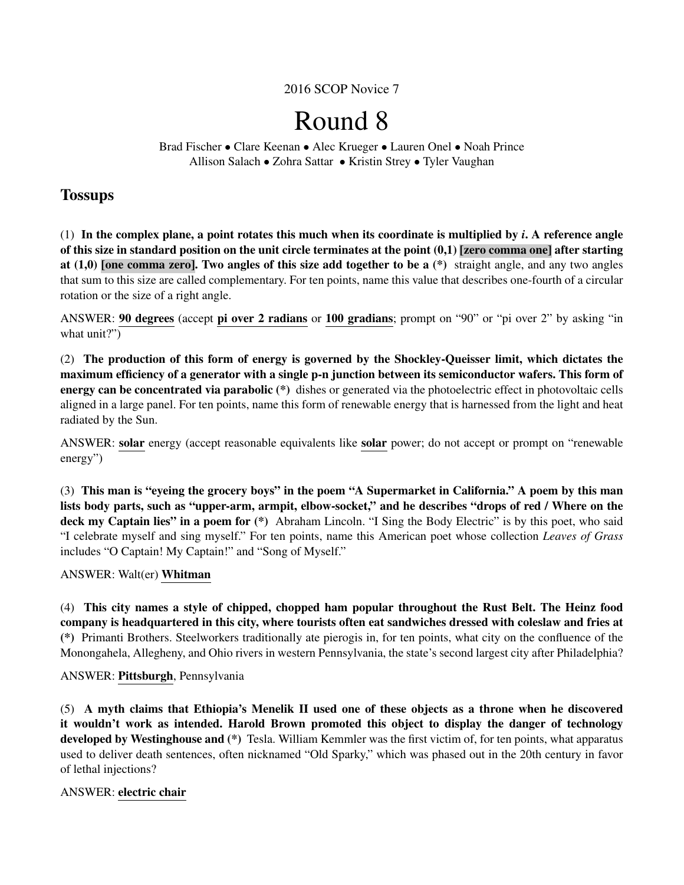## 2016 SCOP Novice 7

# Round 8

Brad Fischer • Clare Keenan • Alec Krueger • Lauren Onel • Noah Prince Allison Salach • Zohra Sattar • Kristin Strey • Tyler Vaughan

## **Tossups**

(1) In the complex plane, a point rotates this much when its coordinate is multiplied by *i*. A reference angle of this size in standard position on the unit circle terminates at the point  $(0,1)$  [zero comma one] after starting at  $(1,0)$  [one comma zero]. Two angles of this size add together to be a  $(*)$  straight angle, and any two angles that sum to this size are called complementary. For ten points, name this value that describes one-fourth of a circular rotation or the size of a right angle.

ANSWER: 90 degrees (accept pi over 2 radians or 100 gradians; prompt on "90" or "pi over 2" by asking "in what unit?"

(2) The production of this form of energy is governed by the Shockley-Queisser limit, which dictates the maximum efficiency of a generator with a single p-n junction between its semiconductor wafers. This form of energy can be concentrated via parabolic (\*) dishes or generated via the photoelectric effect in photovoltaic cells aligned in a large panel. For ten points, name this form of renewable energy that is harnessed from the light and heat radiated by the Sun.

ANSWER: solar energy (accept reasonable equivalents like solar power; do not accept or prompt on "renewable energy")

(3) This man is "eyeing the grocery boys" in the poem "A Supermarket in California." A poem by this man lists body parts, such as "upper-arm, armpit, elbow-socket," and he describes "drops of red / Where on the deck my Captain lies" in a poem for (\*) Abraham Lincoln. "I Sing the Body Electric" is by this poet, who said "I celebrate myself and sing myself." For ten points, name this American poet whose collection *Leaves of Grass* includes "O Captain! My Captain!" and "Song of Myself."

## ANSWER: Walt(er) Whitman

(4) This city names a style of chipped, chopped ham popular throughout the Rust Belt. The Heinz food company is headquartered in this city, where tourists often eat sandwiches dressed with coleslaw and fries at (\*) Primanti Brothers. Steelworkers traditionally ate pierogis in, for ten points, what city on the confluence of the Monongahela, Allegheny, and Ohio rivers in western Pennsylvania, the state's second largest city after Philadelphia?

## ANSWER: Pittsburgh, Pennsylvania

(5) A myth claims that Ethiopia's Menelik II used one of these objects as a throne when he discovered it wouldn't work as intended. Harold Brown promoted this object to display the danger of technology developed by Westinghouse and (\*) Tesla. William Kemmler was the first victim of, for ten points, what apparatus used to deliver death sentences, often nicknamed "Old Sparky," which was phased out in the 20th century in favor of lethal injections?

## ANSWER: electric chair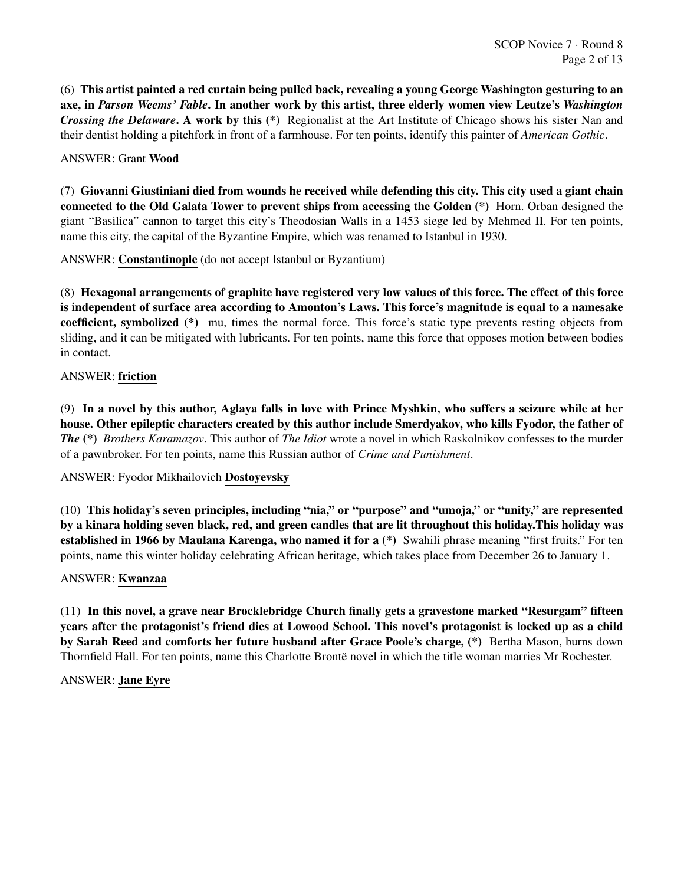(6) This artist painted a red curtain being pulled back, revealing a young George Washington gesturing to an axe, in *Parson Weems' Fable*. In another work by this artist, three elderly women view Leutze's *Washington Crossing the Delaware*. A work by this (\*) Regionalist at the Art Institute of Chicago shows his sister Nan and their dentist holding a pitchfork in front of a farmhouse. For ten points, identify this painter of *American Gothic*.

## ANSWER: Grant Wood

(7) Giovanni Giustiniani died from wounds he received while defending this city. This city used a giant chain connected to the Old Galata Tower to prevent ships from accessing the Golden (\*) Horn. Orban designed the giant "Basilica" cannon to target this city's Theodosian Walls in a 1453 siege led by Mehmed II. For ten points, name this city, the capital of the Byzantine Empire, which was renamed to Istanbul in 1930.

ANSWER: Constantinople (do not accept Istanbul or Byzantium)

(8) Hexagonal arrangements of graphite have registered very low values of this force. The effect of this force is independent of surface area according to Amonton's Laws. This force's magnitude is equal to a namesake coefficient, symbolized (\*) mu, times the normal force. This force's static type prevents resting objects from sliding, and it can be mitigated with lubricants. For ten points, name this force that opposes motion between bodies in contact.

## ANSWER: friction

(9) In a novel by this author, Aglaya falls in love with Prince Myshkin, who suffers a seizure while at her house. Other epileptic characters created by this author include Smerdyakov, who kills Fyodor, the father of *The* (\*) *Brothers Karamazov*. This author of *The Idiot* wrote a novel in which Raskolnikov confesses to the murder of a pawnbroker. For ten points, name this Russian author of *Crime and Punishment*.

ANSWER: Fyodor Mikhailovich Dostoyevsky

(10) This holiday's seven principles, including "nia," or "purpose" and "umoja," or "unity," are represented by a kinara holding seven black, red, and green candles that are lit throughout this holiday.This holiday was established in 1966 by Maulana Karenga, who named it for a (\*) Swahili phrase meaning "first fruits." For ten points, name this winter holiday celebrating African heritage, which takes place from December 26 to January 1.

## ANSWER: Kwanzaa

(11) In this novel, a grave near Brocklebridge Church finally gets a gravestone marked "Resurgam" fifteen years after the protagonist's friend dies at Lowood School. This novel's protagonist is locked up as a child by Sarah Reed and comforts her future husband after Grace Poole's charge, (\*) Bertha Mason, burns down Thornfield Hall. For ten points, name this Charlotte Bronte novel in which the title woman marries Mr Rochester.

ANSWER: Jane Eyre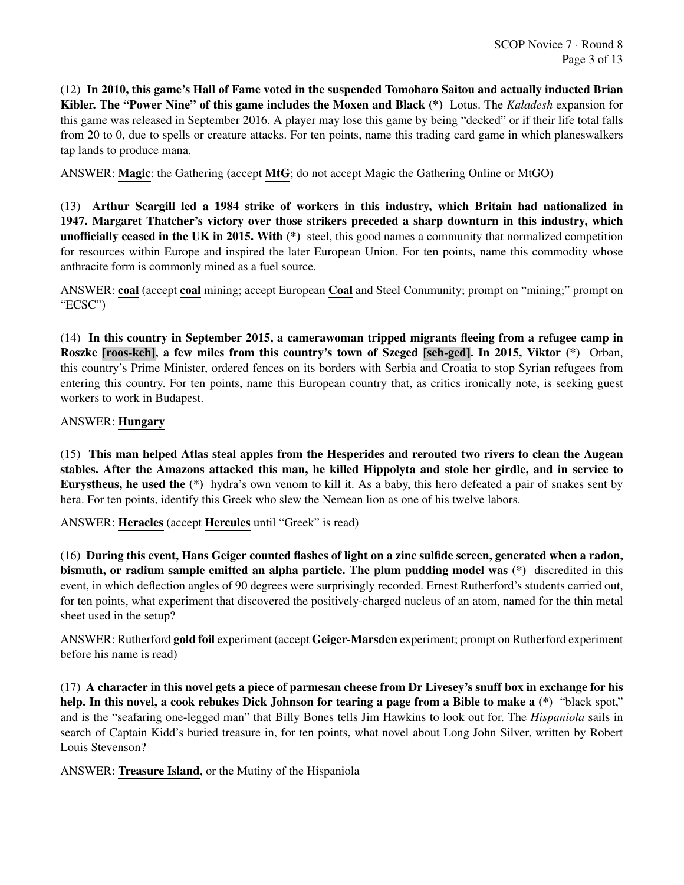(12) In 2010, this game's Hall of Fame voted in the suspended Tomoharo Saitou and actually inducted Brian Kibler. The "Power Nine" of this game includes the Moxen and Black (\*) Lotus. The *Kaladesh* expansion for this game was released in September 2016. A player may lose this game by being "decked" or if their life total falls from 20 to 0, due to spells or creature attacks. For ten points, name this trading card game in which planeswalkers tap lands to produce mana.

ANSWER: Magic: the Gathering (accept MtG; do not accept Magic the Gathering Online or MtGO)

(13) Arthur Scargill led a 1984 strike of workers in this industry, which Britain had nationalized in 1947. Margaret Thatcher's victory over those strikers preceded a sharp downturn in this industry, which unofficially ceased in the UK in 2015. With (\*) steel, this good names a community that normalized competition for resources within Europe and inspired the later European Union. For ten points, name this commodity whose anthracite form is commonly mined as a fuel source.

ANSWER: coal (accept coal mining; accept European Coal and Steel Community; prompt on "mining;" prompt on "ECSC")

(14) In this country in September 2015, a camerawoman tripped migrants fleeing from a refugee camp in Roszke [roos-keh], a few miles from this country's town of Szeged [seh-ged]. In 2015, Viktor (\*) Orban, this country's Prime Minister, ordered fences on its borders with Serbia and Croatia to stop Syrian refugees from entering this country. For ten points, name this European country that, as critics ironically note, is seeking guest workers to work in Budapest.

ANSWER: Hungary

(15) This man helped Atlas steal apples from the Hesperides and rerouted two rivers to clean the Augean stables. After the Amazons attacked this man, he killed Hippolyta and stole her girdle, and in service to Eurystheus, he used the (\*) hydra's own venom to kill it. As a baby, this hero defeated a pair of snakes sent by hera. For ten points, identify this Greek who slew the Nemean lion as one of his twelve labors.

ANSWER: Heracles (accept Hercules until "Greek" is read)

(16) During this event, Hans Geiger counted flashes of light on a zinc sulfide screen, generated when a radon, bismuth, or radium sample emitted an alpha particle. The plum pudding model was (\*) discredited in this event, in which deflection angles of 90 degrees were surprisingly recorded. Ernest Rutherford's students carried out, for ten points, what experiment that discovered the positively-charged nucleus of an atom, named for the thin metal sheet used in the setup?

ANSWER: Rutherford gold foil experiment (accept Geiger-Marsden experiment; prompt on Rutherford experiment before his name is read)

(17) A character in this novel gets a piece of parmesan cheese from Dr Livesey's snuff box in exchange for his help. In this novel, a cook rebukes Dick Johnson for tearing a page from a Bible to make a (\*) "black spot," and is the "seafaring one-legged man" that Billy Bones tells Jim Hawkins to look out for. The *Hispaniola* sails in search of Captain Kidd's buried treasure in, for ten points, what novel about Long John Silver, written by Robert Louis Stevenson?

ANSWER: Treasure Island, or the Mutiny of the Hispaniola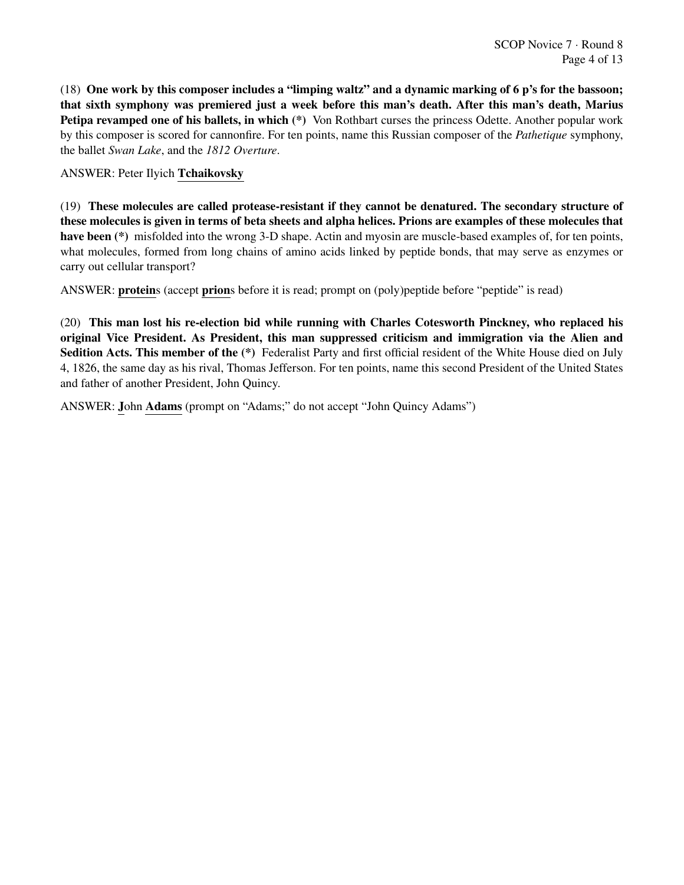(18) One work by this composer includes a "limping waltz" and a dynamic marking of 6 p's for the bassoon; that sixth symphony was premiered just a week before this man's death. After this man's death, Marius Petipa revamped one of his ballets, in which (\*) Von Rothbart curses the princess Odette. Another popular work by this composer is scored for cannonfire. For ten points, name this Russian composer of the *Pathetique* symphony, the ballet *Swan Lake*, and the *1812 Overture*.

ANSWER: Peter Ilyich Tchaikovsky

(19) These molecules are called protease-resistant if they cannot be denatured. The secondary structure of these molecules is given in terms of beta sheets and alpha helices. Prions are examples of these molecules that have been (\*) misfolded into the wrong 3-D shape. Actin and myosin are muscle-based examples of, for ten points, what molecules, formed from long chains of amino acids linked by peptide bonds, that may serve as enzymes or carry out cellular transport?

ANSWER: proteins (accept prions before it is read; prompt on (poly)peptide before "peptide" is read)

(20) This man lost his re-election bid while running with Charles Cotesworth Pinckney, who replaced his original Vice President. As President, this man suppressed criticism and immigration via the Alien and Sedition Acts. This member of the (\*) Federalist Party and first official resident of the White House died on July 4, 1826, the same day as his rival, Thomas Jefferson. For ten points, name this second President of the United States and father of another President, John Quincy.

ANSWER: John Adams (prompt on "Adams;" do not accept "John Quincy Adams")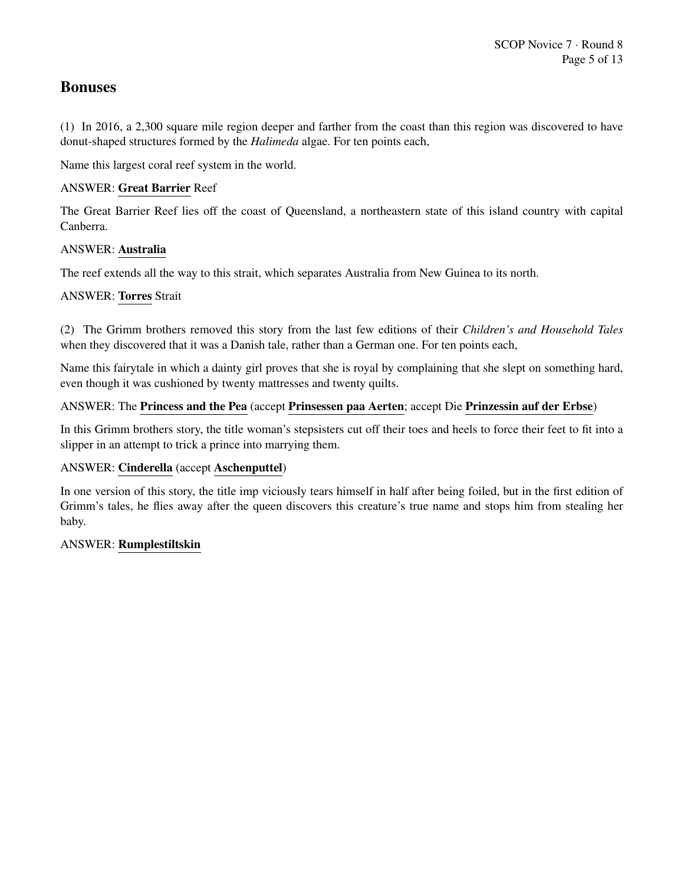# Bonuses

(1) In 2016, a 2,300 square mile region deeper and farther from the coast than this region was discovered to have donut-shaped structures formed by the *Halimeda* algae. For ten points each,

Name this largest coral reef system in the world.

## ANSWER: Great Barrier Reef

The Great Barrier Reef lies off the coast of Queensland, a northeastern state of this island country with capital Canberra.

## ANSWER: Australia

The reef extends all the way to this strait, which separates Australia from New Guinea to its north.

## ANSWER: Torres Strait

(2) The Grimm brothers removed this story from the last few editions of their *Children's and Household Tales* when they discovered that it was a Danish tale, rather than a German one. For ten points each,

Name this fairytale in which a dainty girl proves that she is royal by complaining that she slept on something hard, even though it was cushioned by twenty mattresses and twenty quilts.

## ANSWER: The Princess and the Pea (accept Prinsessen paa Aerten; accept Die Prinzessin auf der Erbse)

In this Grimm brothers story, the title woman's stepsisters cut off their toes and heels to force their feet to fit into a slipper in an attempt to trick a prince into marrying them.

## ANSWER: Cinderella (accept Aschenputtel)

In one version of this story, the title imp viciously tears himself in half after being foiled, but in the first edition of Grimm's tales, he flies away after the queen discovers this creature's true name and stops him from stealing her baby.

## ANSWER: Rumplestiltskin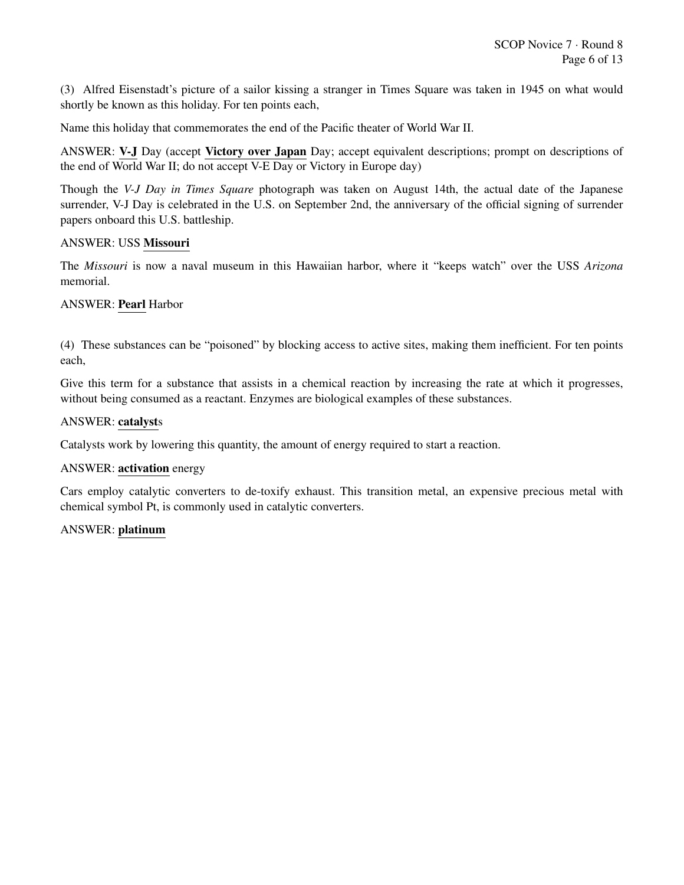(3) Alfred Eisenstadt's picture of a sailor kissing a stranger in Times Square was taken in 1945 on what would shortly be known as this holiday. For ten points each,

Name this holiday that commemorates the end of the Pacific theater of World War II.

ANSWER: V-J Day (accept Victory over Japan Day; accept equivalent descriptions; prompt on descriptions of the end of World War II; do not accept V-E Day or Victory in Europe day)

Though the *V-J Day in Times Square* photograph was taken on August 14th, the actual date of the Japanese surrender, V-J Day is celebrated in the U.S. on September 2nd, the anniversary of the official signing of surrender papers onboard this U.S. battleship.

#### ANSWER: USS Missouri

The *Missouri* is now a naval museum in this Hawaiian harbor, where it "keeps watch" over the USS *Arizona* memorial.

#### ANSWER: Pearl Harbor

(4) These substances can be "poisoned" by blocking access to active sites, making them inefficient. For ten points each,

Give this term for a substance that assists in a chemical reaction by increasing the rate at which it progresses, without being consumed as a reactant. Enzymes are biological examples of these substances.

#### ANSWER: catalysts

Catalysts work by lowering this quantity, the amount of energy required to start a reaction.

#### ANSWER: activation energy

Cars employ catalytic converters to de-toxify exhaust. This transition metal, an expensive precious metal with chemical symbol Pt, is commonly used in catalytic converters.

#### ANSWER: platinum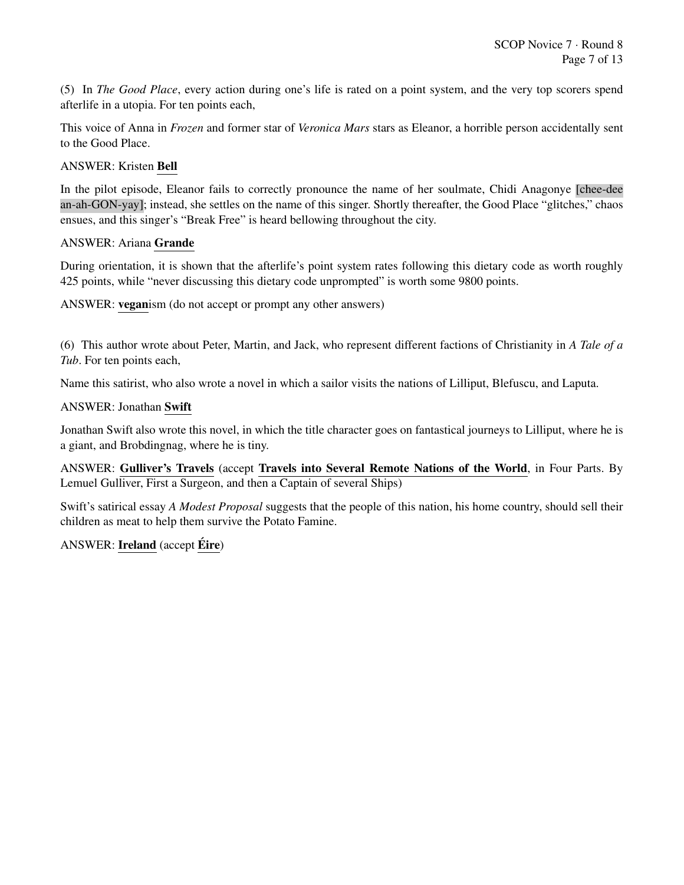(5) In *The Good Place*, every action during one's life is rated on a point system, and the very top scorers spend afterlife in a utopia. For ten points each,

This voice of Anna in *Frozen* and former star of *Veronica Mars* stars as Eleanor, a horrible person accidentally sent to the Good Place.

ANSWER: Kristen Bell

In the pilot episode, Eleanor fails to correctly pronounce the name of her soulmate, Chidi Anagonye [chee-dee an-ah-GON-yay]; instead, she settles on the name of this singer. Shortly thereafter, the Good Place "glitches," chaos ensues, and this singer's "Break Free" is heard bellowing throughout the city.

#### ANSWER: Ariana Grande

During orientation, it is shown that the afterlife's point system rates following this dietary code as worth roughly 425 points, while "never discussing this dietary code unprompted" is worth some 9800 points.

ANSWER: veganism (do not accept or prompt any other answers)

(6) This author wrote about Peter, Martin, and Jack, who represent different factions of Christianity in *A Tale of a Tub*. For ten points each,

Name this satirist, who also wrote a novel in which a sailor visits the nations of Lilliput, Blefuscu, and Laputa.

#### ANSWER: Jonathan Swift

Jonathan Swift also wrote this novel, in which the title character goes on fantastical journeys to Lilliput, where he is a giant, and Brobdingnag, where he is tiny.

ANSWER: Gulliver's Travels (accept Travels into Several Remote Nations of the World, in Four Parts. By Lemuel Gulliver, First a Surgeon, and then a Captain of several Ships)

Swift's satirical essay *A Modest Proposal* suggests that the people of this nation, his home country, should sell their children as meat to help them survive the Potato Famine.

## ANSWER: Ireland (accept Éire)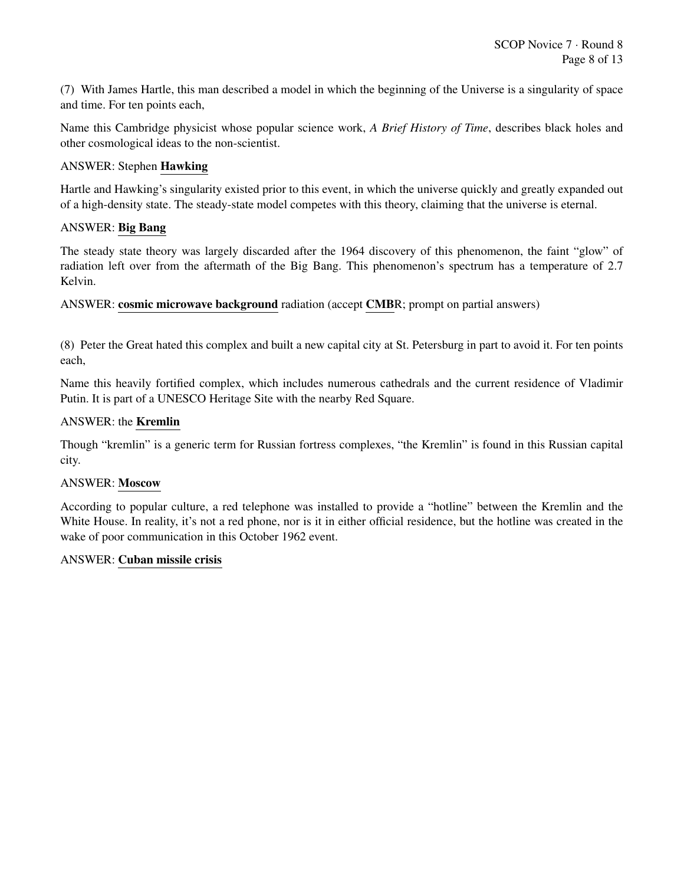(7) With James Hartle, this man described a model in which the beginning of the Universe is a singularity of space and time. For ten points each,

Name this Cambridge physicist whose popular science work, *A Brief History of Time*, describes black holes and other cosmological ideas to the non-scientist.

## ANSWER: Stephen Hawking

Hartle and Hawking's singularity existed prior to this event, in which the universe quickly and greatly expanded out of a high-density state. The steady-state model competes with this theory, claiming that the universe is eternal.

## ANSWER: Big Bang

The steady state theory was largely discarded after the 1964 discovery of this phenomenon, the faint "glow" of radiation left over from the aftermath of the Big Bang. This phenomenon's spectrum has a temperature of 2.7 Kelvin.

ANSWER: cosmic microwave background radiation (accept CMBR; prompt on partial answers)

(8) Peter the Great hated this complex and built a new capital city at St. Petersburg in part to avoid it. For ten points each,

Name this heavily fortified complex, which includes numerous cathedrals and the current residence of Vladimir Putin. It is part of a UNESCO Heritage Site with the nearby Red Square.

## ANSWER: the Kremlin

Though "kremlin" is a generic term for Russian fortress complexes, "the Kremlin" is found in this Russian capital city.

## ANSWER: Moscow

According to popular culture, a red telephone was installed to provide a "hotline" between the Kremlin and the White House. In reality, it's not a red phone, nor is it in either official residence, but the hotline was created in the wake of poor communication in this October 1962 event.

## ANSWER: Cuban missile crisis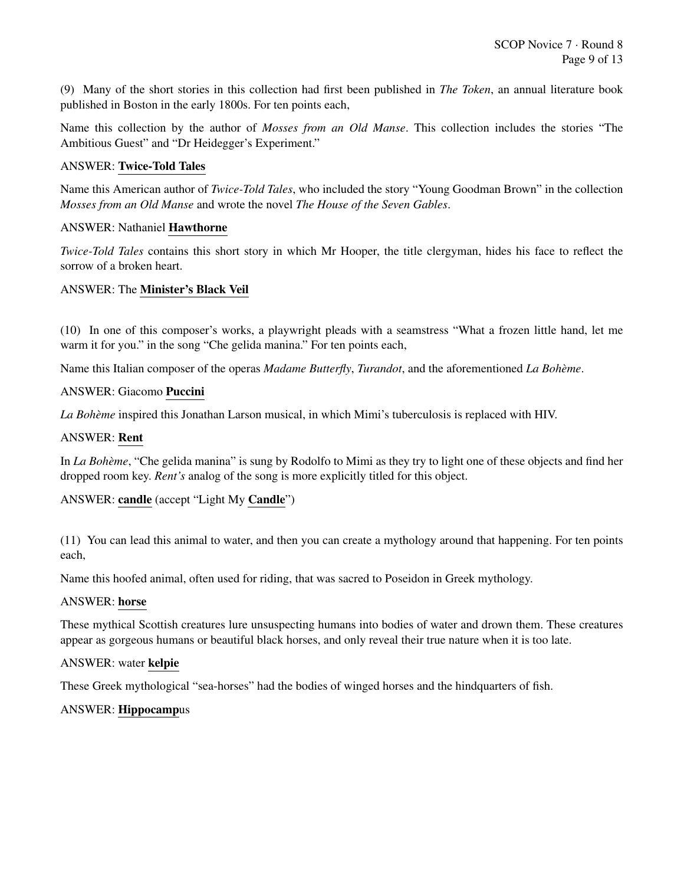(9) Many of the short stories in this collection had first been published in *The Token*, an annual literature book published in Boston in the early 1800s. For ten points each,

Name this collection by the author of *Mosses from an Old Manse*. This collection includes the stories "The Ambitious Guest" and "Dr Heidegger's Experiment."

## ANSWER: Twice-Told Tales

Name this American author of *Twice-Told Tales*, who included the story "Young Goodman Brown" in the collection *Mosses from an Old Manse* and wrote the novel *The House of the Seven Gables*.

## ANSWER: Nathaniel Hawthorne

*Twice-Told Tales* contains this short story in which Mr Hooper, the title clergyman, hides his face to reflect the sorrow of a broken heart.

## ANSWER: The Minister's Black Veil

(10) In one of this composer's works, a playwright pleads with a seamstress "What a frozen little hand, let me warm it for you." in the song "Che gelida manina." For ten points each,

Name this Italian composer of the operas *Madame Butterfly*, *Turandot*, and the aforementioned *La Boheme `* .

## ANSWER: Giacomo Puccini

La Bohème inspired this Jonathan Larson musical, in which Mimi's tuberculosis is replaced with HIV.

## ANSWER: Rent

In *La Bohème*, "Che gelida manina" is sung by Rodolfo to Mimi as they try to light one of these objects and find her dropped room key. *Rent's* analog of the song is more explicitly titled for this object.

## ANSWER: candle (accept "Light My Candle")

(11) You can lead this animal to water, and then you can create a mythology around that happening. For ten points each,

Name this hoofed animal, often used for riding, that was sacred to Poseidon in Greek mythology.

## ANSWER: horse

These mythical Scottish creatures lure unsuspecting humans into bodies of water and drown them. These creatures appear as gorgeous humans or beautiful black horses, and only reveal their true nature when it is too late.

## ANSWER: water kelpie

These Greek mythological "sea-horses" had the bodies of winged horses and the hindquarters of fish.

## ANSWER: Hippocampus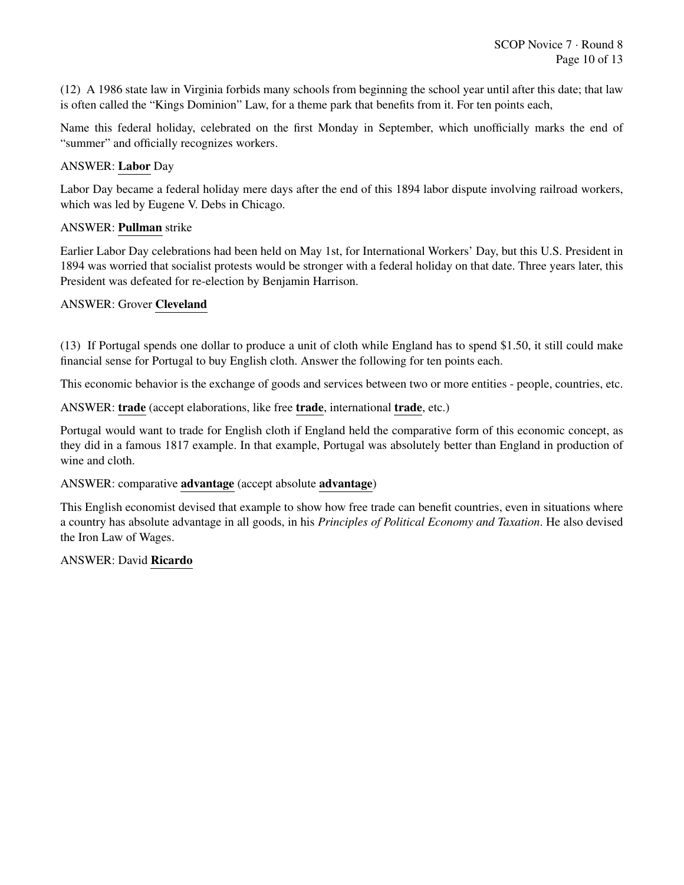(12) A 1986 state law in Virginia forbids many schools from beginning the school year until after this date; that law is often called the "Kings Dominion" Law, for a theme park that benefits from it. For ten points each,

Name this federal holiday, celebrated on the first Monday in September, which unofficially marks the end of "summer" and officially recognizes workers.

## ANSWER: Labor Day

Labor Day became a federal holiday mere days after the end of this 1894 labor dispute involving railroad workers, which was led by Eugene V. Debs in Chicago.

## ANSWER: Pullman strike

Earlier Labor Day celebrations had been held on May 1st, for International Workers' Day, but this U.S. President in 1894 was worried that socialist protests would be stronger with a federal holiday on that date. Three years later, this President was defeated for re-election by Benjamin Harrison.

## ANSWER: Grover Cleveland

(13) If Portugal spends one dollar to produce a unit of cloth while England has to spend \$1.50, it still could make financial sense for Portugal to buy English cloth. Answer the following for ten points each.

This economic behavior is the exchange of goods and services between two or more entities - people, countries, etc.

ANSWER: trade (accept elaborations, like free trade, international trade, etc.)

Portugal would want to trade for English cloth if England held the comparative form of this economic concept, as they did in a famous 1817 example. In that example, Portugal was absolutely better than England in production of wine and cloth.

## ANSWER: comparative advantage (accept absolute advantage)

This English economist devised that example to show how free trade can benefit countries, even in situations where a country has absolute advantage in all goods, in his *Principles of Political Economy and Taxation*. He also devised the Iron Law of Wages.

## ANSWER: David Ricardo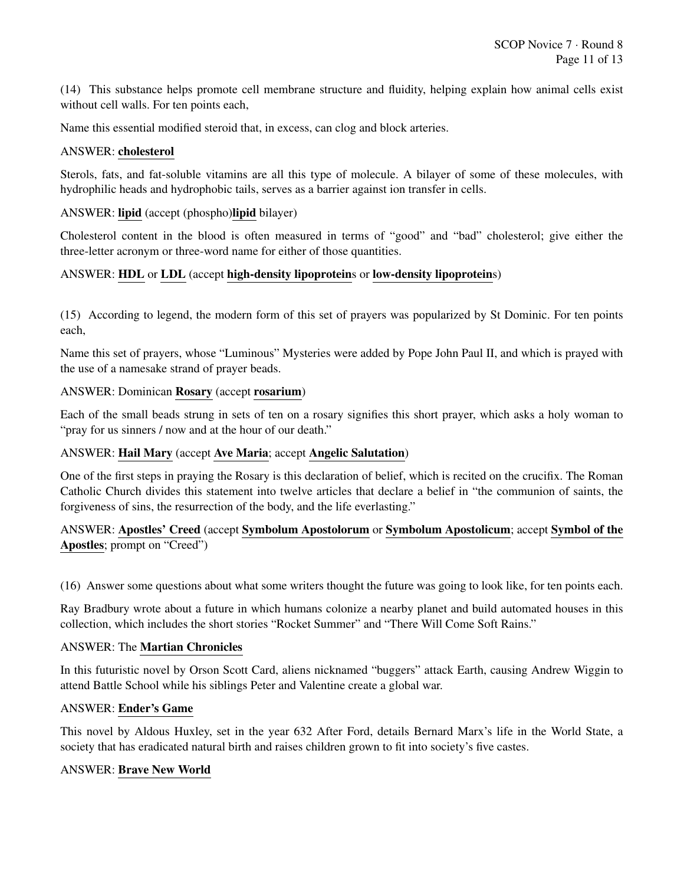(14) This substance helps promote cell membrane structure and fluidity, helping explain how animal cells exist without cell walls. For ten points each,

Name this essential modified steroid that, in excess, can clog and block arteries.

#### ANSWER: cholesterol

Sterols, fats, and fat-soluble vitamins are all this type of molecule. A bilayer of some of these molecules, with hydrophilic heads and hydrophobic tails, serves as a barrier against ion transfer in cells.

## ANSWER: lipid (accept (phospho)lipid bilayer)

Cholesterol content in the blood is often measured in terms of "good" and "bad" cholesterol; give either the three-letter acronym or three-word name for either of those quantities.

## ANSWER: HDL or LDL (accept high-density lipoproteins or low-density lipoproteins)

(15) According to legend, the modern form of this set of prayers was popularized by St Dominic. For ten points each,

Name this set of prayers, whose "Luminous" Mysteries were added by Pope John Paul II, and which is prayed with the use of a namesake strand of prayer beads.

## ANSWER: Dominican Rosary (accept rosarium)

Each of the small beads strung in sets of ten on a rosary signifies this short prayer, which asks a holy woman to "pray for us sinners / now and at the hour of our death."

## ANSWER: Hail Mary (accept Ave Maria; accept Angelic Salutation)

One of the first steps in praying the Rosary is this declaration of belief, which is recited on the crucifix. The Roman Catholic Church divides this statement into twelve articles that declare a belief in "the communion of saints, the forgiveness of sins, the resurrection of the body, and the life everlasting."

ANSWER: Apostles' Creed (accept Symbolum Apostolorum or Symbolum Apostolicum; accept Symbol of the Apostles; prompt on "Creed")

(16) Answer some questions about what some writers thought the future was going to look like, for ten points each.

Ray Bradbury wrote about a future in which humans colonize a nearby planet and build automated houses in this collection, which includes the short stories "Rocket Summer" and "There Will Come Soft Rains."

## ANSWER: The Martian Chronicles

In this futuristic novel by Orson Scott Card, aliens nicknamed "buggers" attack Earth, causing Andrew Wiggin to attend Battle School while his siblings Peter and Valentine create a global war.

#### ANSWER: Ender's Game

This novel by Aldous Huxley, set in the year 632 After Ford, details Bernard Marx's life in the World State, a society that has eradicated natural birth and raises children grown to fit into society's five castes.

#### ANSWER: Brave New World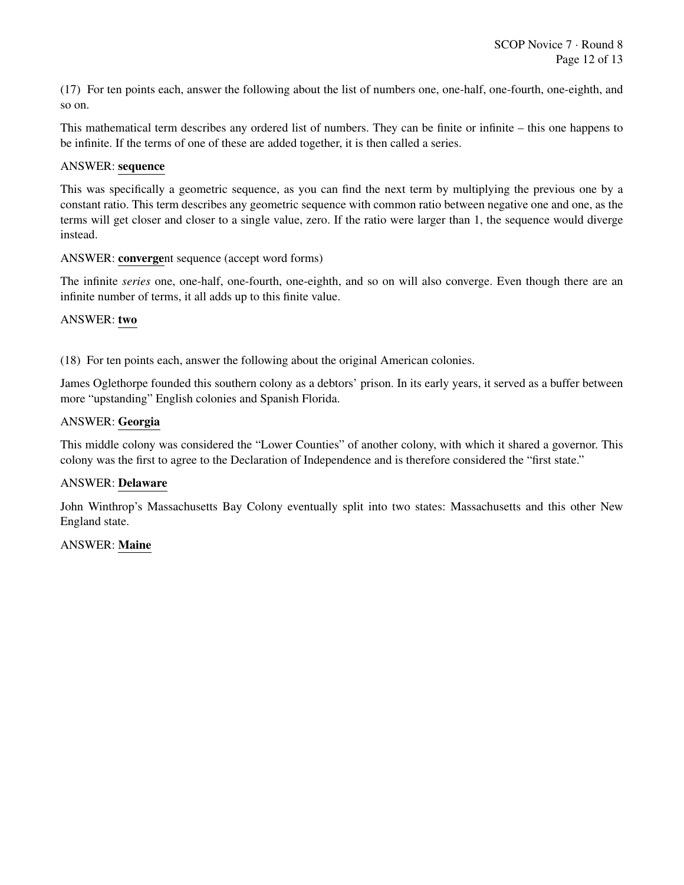(17) For ten points each, answer the following about the list of numbers one, one-half, one-fourth, one-eighth, and so on.

This mathematical term describes any ordered list of numbers. They can be finite or infinite – this one happens to be infinite. If the terms of one of these are added together, it is then called a series.

#### ANSWER: sequence

This was specifically a geometric sequence, as you can find the next term by multiplying the previous one by a constant ratio. This term describes any geometric sequence with common ratio between negative one and one, as the terms will get closer and closer to a single value, zero. If the ratio were larger than 1, the sequence would diverge instead.

#### ANSWER: convergent sequence (accept word forms)

The infinite *series* one, one-half, one-fourth, one-eighth, and so on will also converge. Even though there are an infinite number of terms, it all adds up to this finite value.

#### ANSWER: two

(18) For ten points each, answer the following about the original American colonies.

James Oglethorpe founded this southern colony as a debtors' prison. In its early years, it served as a buffer between more "upstanding" English colonies and Spanish Florida.

#### ANSWER: Georgia

This middle colony was considered the "Lower Counties" of another colony, with which it shared a governor. This colony was the first to agree to the Declaration of Independence and is therefore considered the "first state."

## ANSWER: Delaware

John Winthrop's Massachusetts Bay Colony eventually split into two states: Massachusetts and this other New England state.

## ANSWER: Maine